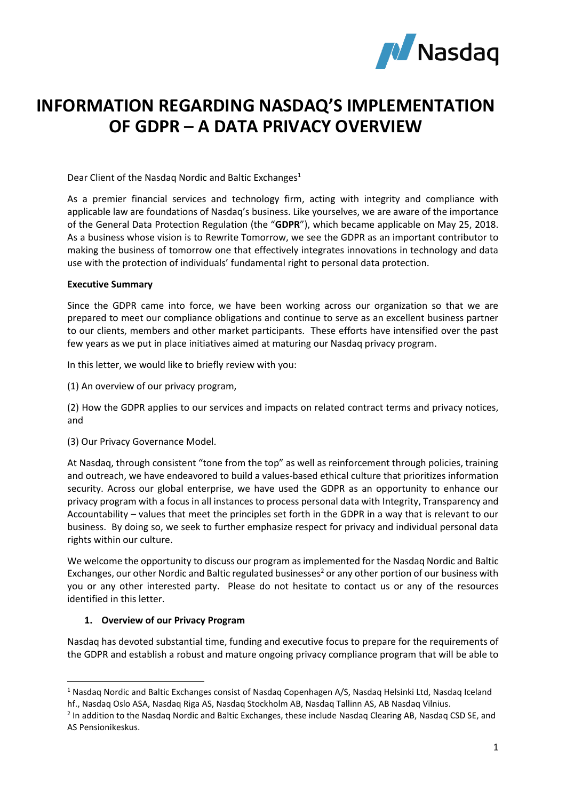

# **INFORMATION REGARDING NASDAQ'S IMPLEMENTATION OF GDPR – A DATA PRIVACY OVERVIEW**

Dear Client of the Nasdaq Nordic and Baltic Exchanges<sup>1</sup>

As a premier financial services and technology firm, acting with integrity and compliance with applicable law are foundations of Nasdaq's business. Like yourselves, we are aware of the importance of the General Data Protection Regulation (the "**GDPR**"), which became applicable on May 25, 2018. As a business whose vision is to Rewrite Tomorrow, we see the GDPR as an important contributor to making the business of tomorrow one that effectively integrates innovations in technology and data use with the protection of individuals' fundamental right to personal data protection.

#### **Executive Summary**

Since the GDPR came into force, we have been working across our organization so that we are prepared to meet our compliance obligations and continue to serve as an excellent business partner to our clients, members and other market participants. These efforts have intensified over the past few years as we put in place initiatives aimed at maturing our Nasdaq privacy program.

In this letter, we would like to briefly review with you:

(1) An overview of our privacy program,

(2) How the GDPR applies to our services and impacts on related contract terms and privacy notices, and

(3) Our Privacy Governance Model.

At Nasdaq, through consistent "tone from the top" as well as reinforcement through policies, training and outreach, we have endeavored to build a values-based ethical culture that prioritizes information security. Across our global enterprise, we have used the GDPR as an opportunity to enhance our privacy program with a focus in all instances to process personal data with Integrity, Transparency and Accountability – values that meet the principles set forth in the GDPR in a way that is relevant to our business. By doing so, we seek to further emphasize respect for privacy and individual personal data rights within our culture.

We welcome the opportunity to discuss our program as implemented for the Nasdaq Nordic and Baltic Exchanges, our other Nordic and Baltic regulated businesses<sup>2</sup> or any other portion of our business with you or any other interested party. Please do not hesitate to contact us or any of the resources identified in this letter.

### **1. Overview of our Privacy Program**

**.** 

Nasdaq has devoted substantial time, funding and executive focus to prepare for the requirements of the GDPR and establish a robust and mature ongoing privacy compliance program that will be able to

<sup>&</sup>lt;sup>1</sup> Nasdaq Nordic and Baltic Exchanges consist of Nasdaq Copenhagen A/S, Nasdaq Helsinki Ltd, Nasdaq Iceland hf., Nasdaq Oslo ASA, Nasdaq Riga AS, Nasdaq Stockholm AB, Nasdaq Tallinn AS, AB Nasdaq Vilnius.

<sup>&</sup>lt;sup>2</sup> In addition to the Nasdaq Nordic and Baltic Exchanges, these include Nasdaq Clearing AB, Nasdaq CSD SE, and AS Pensionikeskus.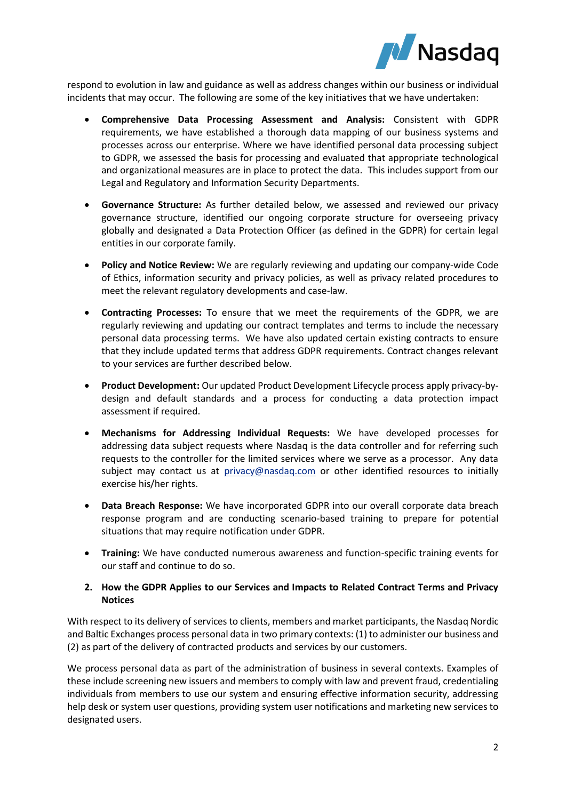

respond to evolution in law and guidance as well as address changes within our business or individual incidents that may occur. The following are some of the key initiatives that we have undertaken:

- **Comprehensive Data Processing Assessment and Analysis:** Consistent with GDPR requirements, we have established a thorough data mapping of our business systems and processes across our enterprise. Where we have identified personal data processing subject to GDPR, we assessed the basis for processing and evaluated that appropriate technological and organizational measures are in place to protect the data. This includes support from our Legal and Regulatory and Information Security Departments.
- **Governance Structure:** As further detailed below, we assessed and reviewed our privacy governance structure, identified our ongoing corporate structure for overseeing privacy globally and designated a Data Protection Officer (as defined in the GDPR) for certain legal entities in our corporate family.
- **Policy and Notice Review:** We are regularly reviewing and updating our company-wide Code of Ethics, information security and privacy policies, as well as privacy related procedures to meet the relevant regulatory developments and case-law.
- **Contracting Processes:** To ensure that we meet the requirements of the GDPR, we are regularly reviewing and updating our contract templates and terms to include the necessary personal data processing terms. We have also updated certain existing contracts to ensure that they include updated terms that address GDPR requirements. Contract changes relevant to your services are further described below.
- **Product Development:** Our updated Product Development Lifecycle process apply privacy-bydesign and default standards and a process for conducting a data protection impact assessment if required.
- **Mechanisms for Addressing Individual Requests:** We have developed processes for addressing data subject requests where Nasdaq is the data controller and for referring such requests to the controller for the limited services where we serve as a processor. Any data subject may contact us at [privacy@nasdaq.com](mailto:privacy@nasdaq.com) or other identified resources to initially exercise his/her rights.
- **Data Breach Response:** We have incorporated GDPR into our overall corporate data breach response program and are conducting scenario-based training to prepare for potential situations that may require notification under GDPR.
- **Training:** We have conducted numerous awareness and function-specific training events for our staff and continue to do so.

## **2. How the GDPR Applies to our Services and Impacts to Related Contract Terms and Privacy Notices**

With respect to its delivery of services to clients, members and market participants, the Nasdaq Nordic and Baltic Exchanges process personal data in two primary contexts: (1) to administer our business and (2) as part of the delivery of contracted products and services by our customers.

We process personal data as part of the administration of business in several contexts. Examples of these include screening new issuers and members to comply with law and prevent fraud, credentialing individuals from members to use our system and ensuring effective information security, addressing help desk or system user questions, providing system user notifications and marketing new services to designated users.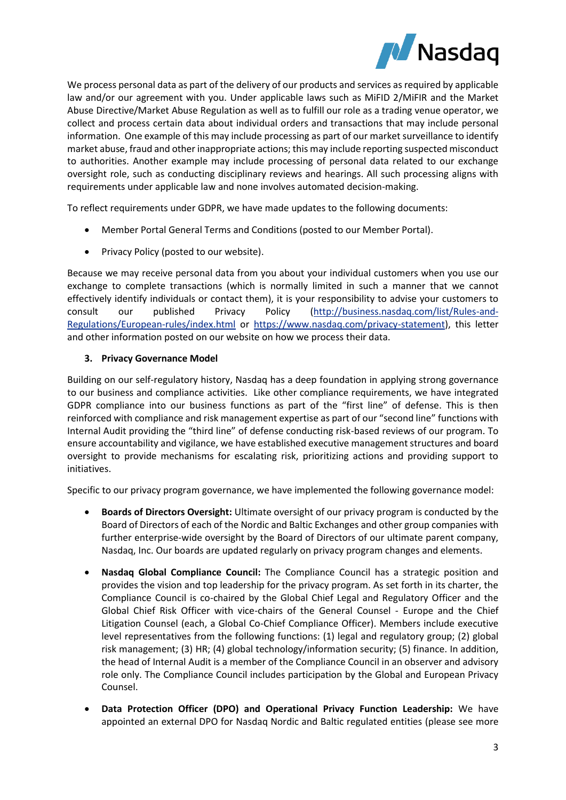

We process personal data as part of the delivery of our products and services as required by applicable law and/or our agreement with you. Under applicable laws such as MiFID 2/MiFIR and the Market Abuse Directive/Market Abuse Regulation as well as to fulfill our role as a trading venue operator, we collect and process certain data about individual orders and transactions that may include personal information. One example of this may include processing as part of our market surveillance to identify market abuse, fraud and other inappropriate actions; this may include reporting suspected misconduct to authorities. Another example may include processing of personal data related to our exchange oversight role, such as conducting disciplinary reviews and hearings. All such processing aligns with requirements under applicable law and none involves automated decision-making.

To reflect requirements under GDPR, we have made updates to the following documents:

- Member Portal General Terms and Conditions (posted to our Member Portal).
- Privacy Policy (posted to our website).

Because we may receive personal data from you about your individual customers when you use our exchange to complete transactions (which is normally limited in such a manner that we cannot effectively identify individuals or contact them), it is your responsibility to advise your customers to consult our published Privacy Policy [\(http://business.nasdaq.com/list/Rules-and-](http://business.nasdaq.com/list/Rules-and-Regulations/European-rules/index.html)[Regulations/European-rules/index.html](http://business.nasdaq.com/list/Rules-and-Regulations/European-rules/index.html) or [https://www.nasdaq.com/privacy-statement\)](https://www.nasdaq.com/privacy-statement), this letter and other information posted on our website on how we process their data.

# **3. Privacy Governance Model**

Building on our self-regulatory history, Nasdaq has a deep foundation in applying strong governance to our business and compliance activities. Like other compliance requirements, we have integrated GDPR compliance into our business functions as part of the "first line" of defense. This is then reinforced with compliance and risk management expertise as part of our "second line" functions with Internal Audit providing the "third line" of defense conducting risk-based reviews of our program. To ensure accountability and vigilance, we have established executive management structures and board oversight to provide mechanisms for escalating risk, prioritizing actions and providing support to initiatives.

Specific to our privacy program governance, we have implemented the following governance model:

- **Boards of Directors Oversight:** Ultimate oversight of our privacy program is conducted by the Board of Directors of each of the Nordic and Baltic Exchanges and other group companies with further enterprise-wide oversight by the Board of Directors of our ultimate parent company, Nasdaq, Inc. Our boards are updated regularly on privacy program changes and elements.
- **Nasdaq Global Compliance Council:** The Compliance Council has a strategic position and provides the vision and top leadership for the privacy program. As set forth in its charter, the Compliance Council is co-chaired by the Global Chief Legal and Regulatory Officer and the Global Chief Risk Officer with vice-chairs of the General Counsel - Europe and the Chief Litigation Counsel (each, a Global Co-Chief Compliance Officer). Members include executive level representatives from the following functions: (1) legal and regulatory group; (2) global risk management; (3) HR; (4) global technology/information security; (5) finance. In addition, the head of Internal Audit is a member of the Compliance Council in an observer and advisory role only. The Compliance Council includes participation by the Global and European Privacy Counsel.
- **Data Protection Officer (DPO) and Operational Privacy Function Leadership:** We have appointed an external DPO for Nasdaq Nordic and Baltic regulated entities (please see more